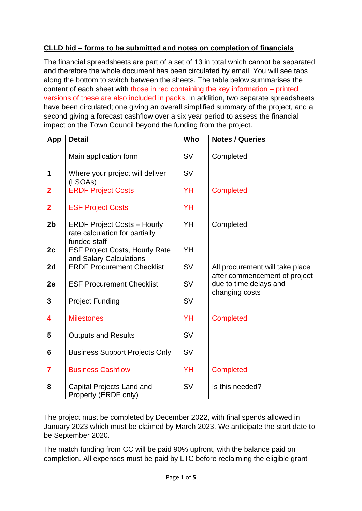# **CLLD bid – forms to be submitted and notes on completion of financials**

The financial spreadsheets are part of a set of 13 in total which cannot be separated and therefore the whole document has been circulated by email. You will see tabs along the bottom to switch between the sheets. The table below summarises the content of each sheet with those in red containing the key information – printed versions of these are also included in packs. In addition, two separate spreadsheets have been circulated; one giving an overall simplified summary of the project, and a second giving a forecast cashflow over a six year period to assess the financial impact on the Town Council beyond the funding from the project.

| App            | <b>Detail</b>                                                                        | Who       | <b>Notes / Queries</b>                                           |
|----------------|--------------------------------------------------------------------------------------|-----------|------------------------------------------------------------------|
|                | Main application form                                                                | <b>SV</b> | Completed                                                        |
| $\mathbf 1$    | Where your project will deliver<br>(LSOAs)                                           | <b>SV</b> |                                                                  |
| $\overline{2}$ | <b>ERDF Project Costs</b>                                                            | YH        | <b>Completed</b>                                                 |
| $\overline{2}$ | <b>ESF Project Costs</b>                                                             | YH        |                                                                  |
| 2 <sub>b</sub> | <b>ERDF Project Costs - Hourly</b><br>rate calculation for partially<br>funded staff | YH        | Completed                                                        |
| 2c             | <b>ESF Project Costs, Hourly Rate</b><br>and Salary Calculations                     | YH        |                                                                  |
| 2d             | <b>ERDF Procurement Checklist</b>                                                    | <b>SV</b> | All procurement will take place<br>after commencement of project |
| 2e             | <b>ESF Procurement Checklist</b>                                                     | <b>SV</b> | due to time delays and<br>changing costs                         |
| $\overline{3}$ | <b>Project Funding</b>                                                               | <b>SV</b> |                                                                  |
| 4              | <b>Milestones</b>                                                                    | YH        | <b>Completed</b>                                                 |
| 5              | <b>Outputs and Results</b>                                                           | <b>SV</b> |                                                                  |
| 6              | <b>Business Support Projects Only</b>                                                | <b>SV</b> |                                                                  |
| $\overline{7}$ | <b>Business Cashflow</b>                                                             | YH        | <b>Completed</b>                                                 |
| 8              | Capital Projects Land and<br>Property (ERDF only)                                    | <b>SV</b> | Is this needed?                                                  |

The project must be completed by December 2022, with final spends allowed in January 2023 which must be claimed by March 2023. We anticipate the start date to be September 2020.

The match funding from CC will be paid 90% upfront, with the balance paid on completion. All expenses must be paid by LTC before reclaiming the eligible grant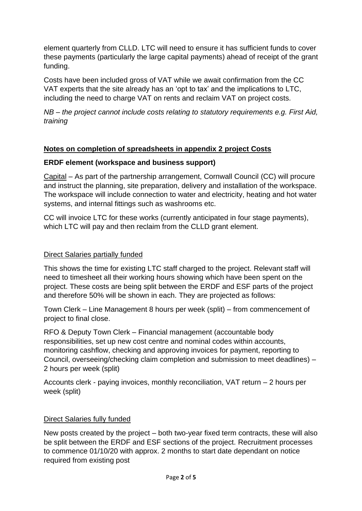element quarterly from CLLD. LTC will need to ensure it has sufficient funds to cover these payments (particularly the large capital payments) ahead of receipt of the grant funding.

Costs have been included gross of VAT while we await confirmation from the CC VAT experts that the site already has an 'opt to tax' and the implications to LTC, including the need to charge VAT on rents and reclaim VAT on project costs.

*NB – the project cannot include costs relating to statutory requirements e.g. First Aid, training*

## **Notes on completion of spreadsheets in appendix 2 project Costs**

### **ERDF element (workspace and business support)**

Capital – As part of the partnership arrangement, Cornwall Council (CC) will procure and instruct the planning, site preparation, delivery and installation of the workspace. The workspace will include connection to water and electricity, heating and hot water systems, and internal fittings such as washrooms etc.

CC will invoice LTC for these works (currently anticipated in four stage payments), which LTC will pay and then reclaim from the CLLD grant element.

## Direct Salaries partially funded

This shows the time for existing LTC staff charged to the project. Relevant staff will need to timesheet all their working hours showing which have been spent on the project. These costs are being split between the ERDF and ESF parts of the project and therefore 50% will be shown in each. They are projected as follows:

Town Clerk – Line Management 8 hours per week (split) – from commencement of project to final close.

RFO & Deputy Town Clerk – Financial management (accountable body responsibilities, set up new cost centre and nominal codes within accounts, monitoring cashflow, checking and approving invoices for payment, reporting to Council, overseeing/checking claim completion and submission to meet deadlines) – 2 hours per week (split)

Accounts clerk - paying invoices, monthly reconciliation, VAT return – 2 hours per week (split)

### Direct Salaries fully funded

New posts created by the project – both two-year fixed term contracts, these will also be split between the ERDF and ESF sections of the project. Recruitment processes to commence 01/10/20 with approx. 2 months to start date dependant on notice required from existing post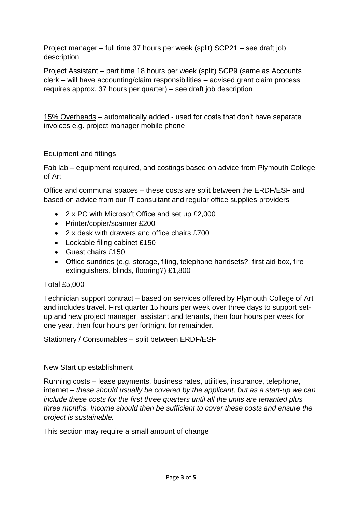Project manager – full time 37 hours per week (split) SCP21 – see draft job description

Project Assistant – part time 18 hours per week (split) SCP9 (same as Accounts clerk – will have accounting/claim responsibilities – advised grant claim process requires approx. 37 hours per quarter) – see draft job description

15% Overheads – automatically added - used for costs that don't have separate invoices e.g. project manager mobile phone

## Equipment and fittings

Fab lab – equipment required, and costings based on advice from Plymouth College of Art

Office and communal spaces – these costs are split between the ERDF/ESF and based on advice from our IT consultant and regular office supplies providers

- 2 x PC with Microsoft Office and set up £2,000
- Printer/copier/scanner £200
- 2 x desk with drawers and office chairs £700
- Lockable filing cabinet £150
- Guest chairs £150
- Office sundries (e.g. storage, filing, telephone handsets?, first aid box, fire extinguishers, blinds, flooring?) £1,800

### Total £5,000

Technician support contract – based on services offered by Plymouth College of Art and includes travel. First quarter 15 hours per week over three days to support setup and new project manager, assistant and tenants, then four hours per week for one year, then four hours per fortnight for remainder.

Stationery / Consumables – split between ERDF/ESF

### New Start up establishment

Running costs – lease payments, business rates, utilities, insurance, telephone, internet – *these should usually be covered by the applicant, but as a start-up we can include these costs for the first three quarters until all the units are tenanted plus three months. Income should then be sufficient to cover these costs and ensure the project is sustainable.*

This section may require a small amount of change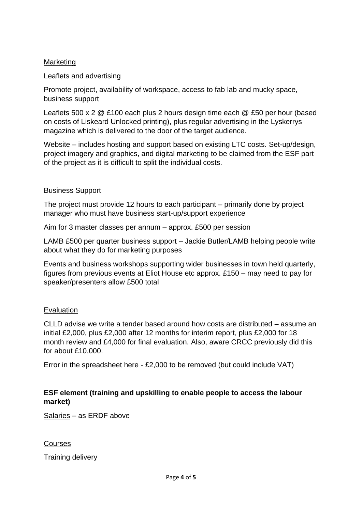### **Marketing**

### Leaflets and advertising

Promote project, availability of workspace, access to fab lab and mucky space, business support

Leaflets 500 x 2 @ £100 each plus 2 hours design time each @ £50 per hour (based on costs of Liskeard Unlocked printing), plus regular advertising in the Lyskerrys magazine which is delivered to the door of the target audience.

Website – includes hosting and support based on existing LTC costs. Set-up/design, project imagery and graphics, and digital marketing to be claimed from the ESF part of the project as it is difficult to split the individual costs.

### Business Support

The project must provide 12 hours to each participant – primarily done by project manager who must have business start-up/support experience

Aim for 3 master classes per annum – approx. £500 per session

LAMB £500 per quarter business support – Jackie Butler/LAMB helping people write about what they do for marketing purposes

Events and business workshops supporting wider businesses in town held quarterly, figures from previous events at Eliot House etc approx. £150 – may need to pay for speaker/presenters allow £500 total

#### Evaluation

CLLD advise we write a tender based around how costs are distributed – assume an initial £2,000, plus £2,000 after 12 months for interim report, plus £2,000 for 18 month review and £4,000 for final evaluation. Also, aware CRCC previously did this for about £10,000.

Error in the spreadsheet here - £2,000 to be removed (but could include VAT)

### **ESF element (training and upskilling to enable people to access the labour market)**

Salaries – as ERDF above

**Courses** 

Training delivery